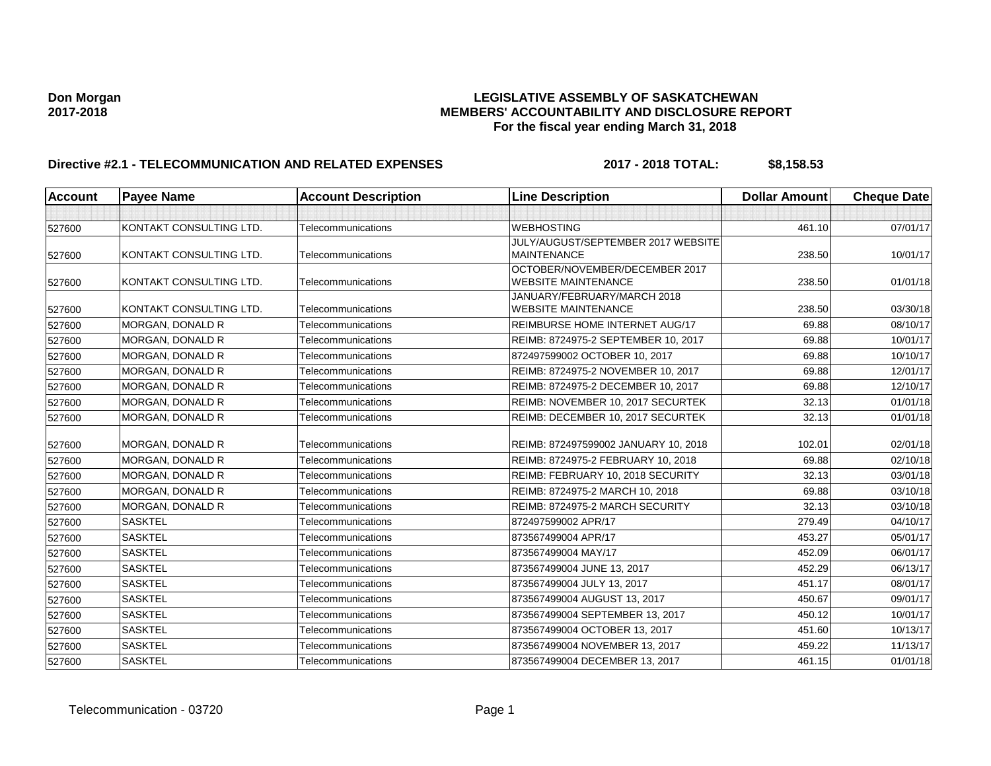# **Don Morgan LEGISLATIVE ASSEMBLY OF SASKATCHEWAN 2017-2018 MEMBERS' ACCOUNTABILITY AND DISCLOSURE REPORT For the fiscal year ending March 31, 2018**

# **Directive #2.1 - TELECOMMUNICATION AND RELATED EXPENSES** 2017 - 2018 TOTAL: \$8,158.53

| <b>Account</b> | <b>Payee Name</b>       | <b>Account Description</b> | <b>Line Description</b>                                   | <b>Dollar Amount</b> | <b>Cheque Date</b> |
|----------------|-------------------------|----------------------------|-----------------------------------------------------------|----------------------|--------------------|
|                |                         |                            |                                                           |                      |                    |
| 527600         | KONTAKT CONSULTING LTD. | Telecommunications         | <b>WEBHOSTING</b>                                         | 461.10               | 07/01/17           |
|                |                         |                            | JULY/AUGUST/SEPTEMBER 2017 WEBSITE                        |                      |                    |
| 527600         | KONTAKT CONSULTING LTD. | Telecommunications         | <b>MAINTENANCE</b>                                        | 238.50               | 10/01/17           |
|                |                         |                            | OCTOBER/NOVEMBER/DECEMBER 2017                            |                      |                    |
| 527600         | KONTAKT CONSULTING LTD. | Telecommunications         | <b>WEBSITE MAINTENANCE</b>                                | 238.50               | 01/01/18           |
| 527600         | KONTAKT CONSULTING LTD. | Telecommunications         | JANUARY/FEBRUARY/MARCH 2018<br><b>WEBSITE MAINTENANCE</b> | 238.50               | 03/30/18           |
| 527600         | MORGAN, DONALD R        | Telecommunications         | REIMBURSE HOME INTERNET AUG/17                            | 69.88                | 08/10/17           |
| 527600         | <b>MORGAN, DONALD R</b> | Telecommunications         | REIMB: 8724975-2 SEPTEMBER 10, 2017                       | 69.88                | 10/01/17           |
| 527600         | MORGAN, DONALD R        | Telecommunications         | 872497599002 OCTOBER 10, 2017                             | 69.88                | 10/10/17           |
| 527600         | MORGAN, DONALD R        | Telecommunications         | REIMB: 8724975-2 NOVEMBER 10, 2017                        | 69.88                | 12/01/17           |
| 527600         | MORGAN, DONALD R        | Telecommunications         | REIMB: 8724975-2 DECEMBER 10, 2017                        | 69.88                | 12/10/17           |
| 527600         | MORGAN, DONALD R        | Telecommunications         | REIMB: NOVEMBER 10, 2017 SECURTEK                         | 32.13                | 01/01/18           |
| 527600         | MORGAN, DONALD R        | Telecommunications         | REIMB: DECEMBER 10, 2017 SECURTEK                         | 32.13                | 01/01/18           |
|                |                         |                            |                                                           |                      |                    |
| 527600         | MORGAN, DONALD R        | Telecommunications         | REIMB: 872497599002 JANUARY 10, 2018                      | 102.01               | 02/01/18           |
| 527600         | MORGAN, DONALD R        | Telecommunications         | REIMB: 8724975-2 FEBRUARY 10, 2018                        | 69.88                | 02/10/18           |
| 527600         | <b>MORGAN, DONALD R</b> | Telecommunications         | REIMB: FEBRUARY 10, 2018 SECURITY                         | 32.13                | 03/01/18           |
| 527600         | MORGAN, DONALD R        | Telecommunications         | REIMB: 8724975-2 MARCH 10, 2018                           | 69.88                | 03/10/18           |
| 527600         | MORGAN, DONALD R        | Telecommunications         | REIMB: 8724975-2 MARCH SECURITY                           | 32.13                | 03/10/18           |
| 527600         | <b>SASKTEL</b>          | Telecommunications         | 872497599002 APR/17                                       | 279.49               | 04/10/17           |
| 527600         | <b>SASKTEL</b>          | Telecommunications         | 873567499004 APR/17                                       | 453.27               | 05/01/17           |
| 527600         | <b>SASKTEL</b>          | Telecommunications         | 873567499004 MAY/17                                       | 452.09               | 06/01/17           |
| 527600         | <b>SASKTEL</b>          | Telecommunications         | 873567499004 JUNE 13, 2017                                | 452.29               | 06/13/17           |
| 527600         | <b>SASKTEL</b>          | Telecommunications         | 873567499004 JULY 13, 2017                                | 451.17               | 08/01/17           |
| 527600         | <b>SASKTEL</b>          | Telecommunications         | 873567499004 AUGUST 13, 2017                              | 450.67               | 09/01/17           |
| 527600         | <b>SASKTEL</b>          | Telecommunications         | 873567499004 SEPTEMBER 13, 2017                           | 450.12               | 10/01/17           |
| 527600         | <b>SASKTEL</b>          | Telecommunications         | 873567499004 OCTOBER 13, 2017                             | 451.60               | 10/13/17           |
| 527600         | <b>SASKTEL</b>          | Telecommunications         | 873567499004 NOVEMBER 13, 2017                            | 459.22               | 11/13/17           |
| 527600         | <b>SASKTEL</b>          | Telecommunications         | 873567499004 DECEMBER 13, 2017                            | 461.15               | 01/01/18           |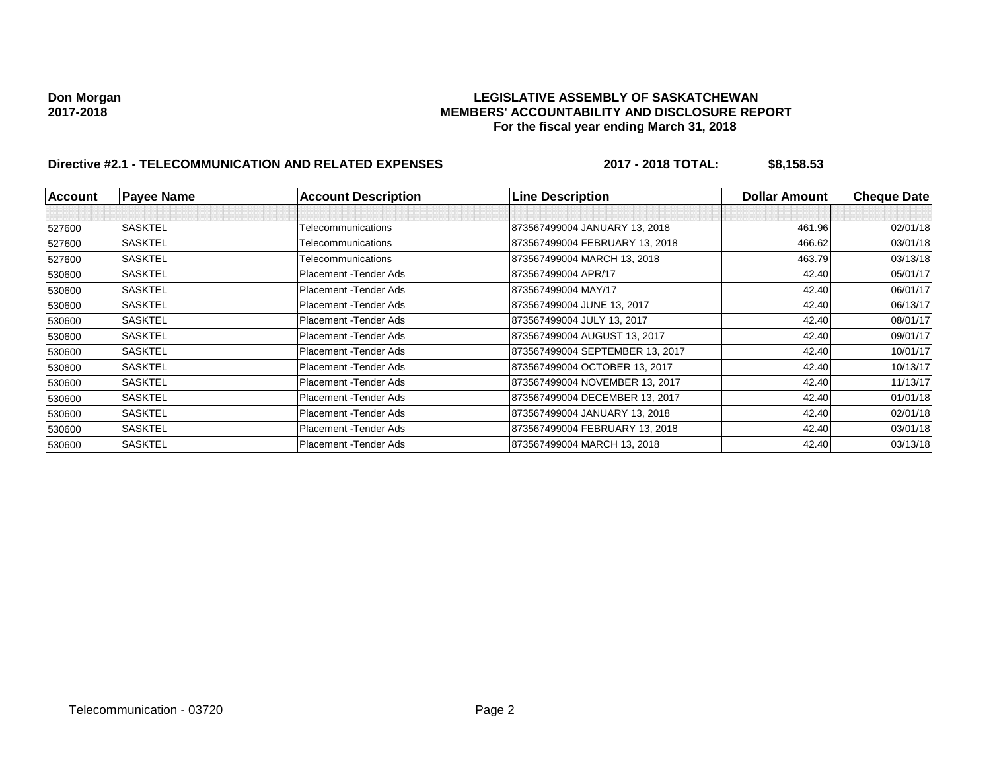# **Don Morgan LEGISLATIVE ASSEMBLY OF SASKATCHEWAN 2017-2018 MEMBERS' ACCOUNTABILITY AND DISCLOSURE REPORT For the fiscal year ending March 31, 2018**

# **Directive #2.1 - TELECOMMUNICATION AND RELATED EXPENSES** 2017 - 2018 TOTAL: \$8,158.53

| <b>Account</b> | <b>Payee Name</b> | <b>Account Description</b> | <b>Line Description</b>         | <b>Dollar Amount</b> | <b>Cheque Date</b> |
|----------------|-------------------|----------------------------|---------------------------------|----------------------|--------------------|
|                |                   |                            |                                 |                      |                    |
| 527600         | <b>SASKTEL</b>    | Telecommunications         | 873567499004 JANUARY 13, 2018   | 461.96               | 02/01/18           |
| 527600         | <b>SASKTEL</b>    | Telecommunications         | 873567499004 FEBRUARY 13, 2018  | 466.62               | 03/01/18           |
| 527600         | <b>SASKTEL</b>    | Telecommunications         | 873567499004 MARCH 13, 2018     | 463.79               | 03/13/18           |
| 530600         | <b>SASKTEL</b>    | Placement - Tender Ads     | 873567499004 APR/17             | 42.40                | 05/01/17           |
| 530600         | <b>SASKTEL</b>    | Placement - Tender Ads     | 873567499004 MAY/17             | 42.40                | 06/01/17           |
| 530600         | <b>SASKTEL</b>    | Placement - Tender Ads     | 873567499004 JUNE 13, 2017      | 42.40                | 06/13/17           |
| 530600         | <b>SASKTEL</b>    | Placement - Tender Ads     | 873567499004 JULY 13, 2017      | 42.40                | 08/01/17           |
| 530600         | <b>SASKTEL</b>    | Placement - Tender Ads     | 873567499004 AUGUST 13, 2017    | 42.40                | 09/01/17           |
| 530600         | SASKTEL           | Placement - Tender Ads     | 873567499004 SEPTEMBER 13, 2017 | 42.40                | 10/01/17           |
| 530600         | <b>SASKTEL</b>    | Placement - Tender Ads     | 873567499004 OCTOBER 13, 2017   | 42.40                | 10/13/17           |
| 530600         | <b>SASKTEL</b>    | Placement - Tender Ads     | 873567499004 NOVEMBER 13, 2017  | 42.40                | 11/13/17           |
| 530600         | <b>SASKTEL</b>    | Placement - Tender Ads     | 873567499004 DECEMBER 13, 2017  | 42.40                | 01/01/18           |
| 530600         | <b>SASKTEL</b>    | Placement - Tender Ads     | 873567499004 JANUARY 13, 2018   | 42.40                | 02/01/18           |
| 530600         | <b>SASKTEL</b>    | Placement - Tender Ads     | 873567499004 FEBRUARY 13, 2018  | 42.40                | 03/01/18           |
| 530600         | <b>SASKTEL</b>    | Placement - Tender Ads     | 873567499004 MARCH 13, 2018     | 42.40                | 03/13/18           |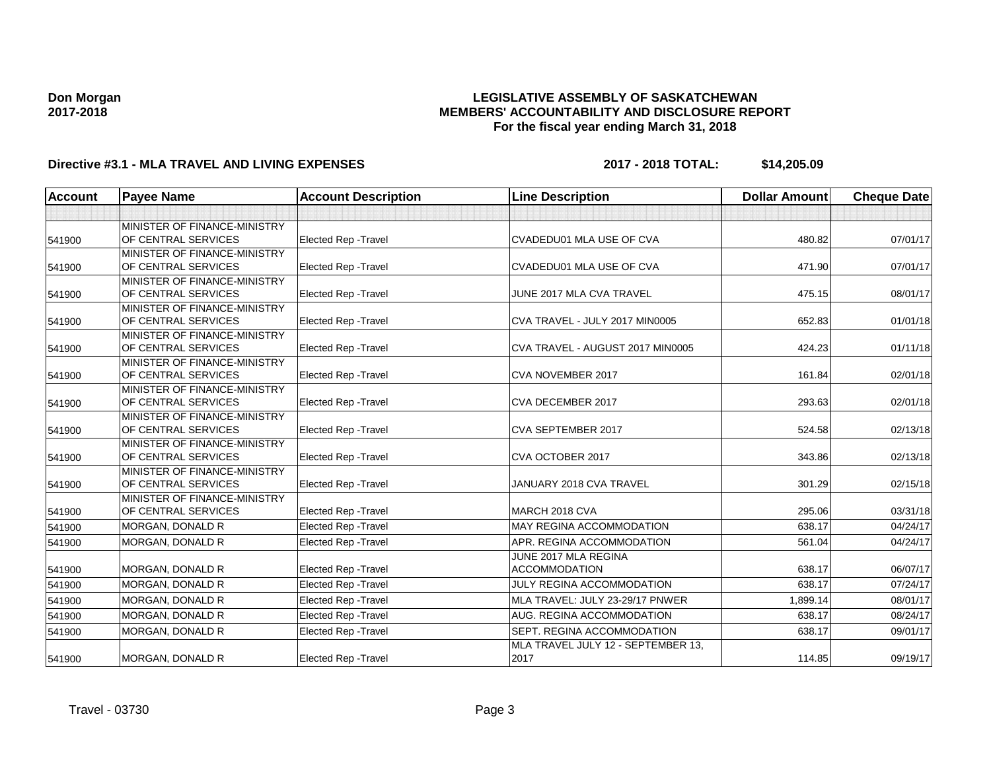## **LEGISLATIVE ASSEMBLY OF SASKATCHEWAN MEMBERS' ACCOUNTABILITY AND DISCLOSURE REPORT For the fiscal year ending March 31, 2018**

# **Directive #3.1 - MLA TRAVEL AND LIVING EXPENSES 2017 - 2018 TOTAL: \$14,205.09**

| <b>Account</b> | <b>Payee Name</b>                                          | <b>Account Description</b>  | <b>Line Description</b>                      | <b>Dollar Amount</b> | <b>Cheque Date</b> |
|----------------|------------------------------------------------------------|-----------------------------|----------------------------------------------|----------------------|--------------------|
|                |                                                            |                             |                                              |                      |                    |
| 541900         | MINISTER OF FINANCE-MINISTRY<br>OF CENTRAL SERVICES        | <b>Elected Rep - Travel</b> | CVADEDU01 MLA USE OF CVA                     | 480.82               | 07/01/17           |
| 541900         | MINISTER OF FINANCE-MINISTRY<br>OF CENTRAL SERVICES        | <b>Elected Rep - Travel</b> | <b>CVADEDU01 MLA USE OF CVA</b>              | 471.90               | 07/01/17           |
| 541900         | MINISTER OF FINANCE-MINISTRY<br>OF CENTRAL SERVICES        | <b>Elected Rep - Travel</b> | JUNE 2017 MLA CVA TRAVEL                     | 475.15               | 08/01/17           |
| 541900         | MINISTER OF FINANCE-MINISTRY<br>OF CENTRAL SERVICES        | <b>Elected Rep - Travel</b> | CVA TRAVEL - JULY 2017 MIN0005               | 652.83               | 01/01/18           |
| 541900         | MINISTER OF FINANCE-MINISTRY<br>OF CENTRAL SERVICES        | <b>Elected Rep - Travel</b> | CVA TRAVEL - AUGUST 2017 MIN0005             | 424.23               | 01/11/18           |
| 541900         | MINISTER OF FINANCE-MINISTRY<br>OF CENTRAL SERVICES        | Elected Rep - Travel        | CVA NOVEMBER 2017                            | 161.84               | 02/01/18           |
| 541900         | MINISTER OF FINANCE-MINISTRY<br>OF CENTRAL SERVICES        | <b>Elected Rep - Travel</b> | CVA DECEMBER 2017                            | 293.63               | 02/01/18           |
| 541900         | MINISTER OF FINANCE-MINISTRY<br>OF CENTRAL SERVICES        | <b>Elected Rep - Travel</b> | CVA SEPTEMBER 2017                           | 524.58               | 02/13/18           |
| 541900         | MINISTER OF FINANCE-MINISTRY<br>OF CENTRAL SERVICES        | <b>Elected Rep - Travel</b> | CVA OCTOBER 2017                             | 343.86               | 02/13/18           |
| 541900         | MINISTER OF FINANCE-MINISTRY<br><b>OF CENTRAL SERVICES</b> | <b>Elected Rep - Travel</b> | JANUARY 2018 CVA TRAVEL                      | 301.29               | 02/15/18           |
| 541900         | MINISTER OF FINANCE-MINISTRY<br>OF CENTRAL SERVICES        | <b>Elected Rep - Travel</b> | MARCH 2018 CVA                               | 295.06               | 03/31/18           |
| 541900         | MORGAN, DONALD R                                           | Elected Rep - Travel        | MAY REGINA ACCOMMODATION                     | 638.17               | 04/24/17           |
| 541900         | MORGAN, DONALD R                                           | <b>Elected Rep - Travel</b> | APR. REGINA ACCOMMODATION                    | 561.04               | 04/24/17           |
| 541900         | MORGAN, DONALD R                                           | <b>Elected Rep - Travel</b> | JUNE 2017 MLA REGINA<br><b>ACCOMMODATION</b> | 638.17               | 06/07/17           |
| 541900         | <b>MORGAN, DONALD R</b>                                    | <b>Elected Rep - Travel</b> | JULY REGINA ACCOMMODATION                    | 638.17               | 07/24/17           |
| 541900         | MORGAN, DONALD R                                           | <b>Elected Rep - Travel</b> | MLA TRAVEL: JULY 23-29/17 PNWER              | 1.899.14             | 08/01/17           |
| 541900         | MORGAN, DONALD R                                           | <b>Elected Rep - Travel</b> | AUG. REGINA ACCOMMODATION                    | 638.17               | 08/24/17           |
| 541900         | <b>MORGAN, DONALD R</b>                                    | <b>Elected Rep - Travel</b> | SEPT. REGINA ACCOMMODATION                   | 638.17               | 09/01/17           |
| 541900         | MORGAN, DONALD R                                           | <b>Elected Rep - Travel</b> | MLA TRAVEL JULY 12 - SEPTEMBER 13,<br>2017   | 114.85               | 09/19/17           |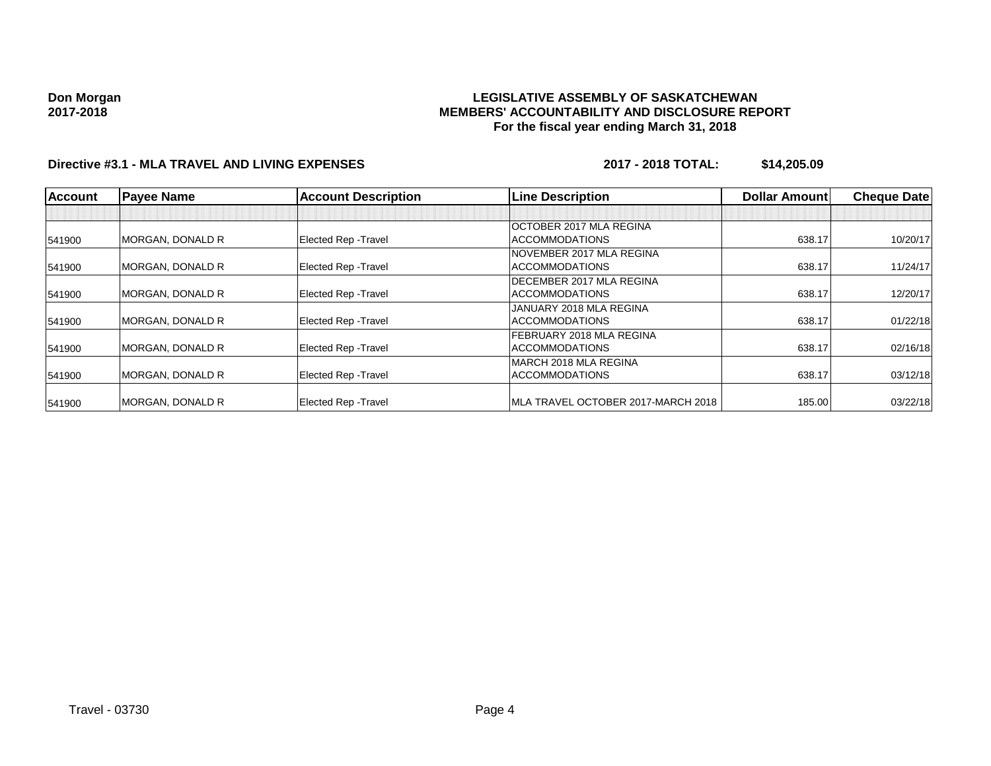### **LEGISLATIVE ASSEMBLY OF SASKATCHEWAN MEMBERS' ACCOUNTABILITY AND DISCLOSURE REPORT For the fiscal year ending March 31, 2018**

# **Directive #3.1 - MLA TRAVEL AND LIVING EXPENSES 2017 - 2018 TOTAL: \$14,205.09**

| <b>Account</b> | <b>Payee Name</b>       | <b>Account Description</b>  | <b>Line Description</b>            | <b>Dollar Amountl</b> | <b>Cheque Date</b> |
|----------------|-------------------------|-----------------------------|------------------------------------|-----------------------|--------------------|
|                |                         |                             |                                    |                       |                    |
|                |                         |                             | <b>OCTOBER 2017 MLA REGINA</b>     |                       |                    |
| 541900         | MORGAN, DONALD R        | <b>Elected Rep - Travel</b> | <b>ACCOMMODATIONS</b>              | 638.17                | 10/20/17           |
|                |                         |                             | NOVEMBER 2017 MLA REGINA           |                       |                    |
| 541900         | <b>MORGAN, DONALD R</b> | <b>Elected Rep - Travel</b> | <b>ACCOMMODATIONS</b>              | 638.17                | 11/24/17           |
|                |                         |                             | <b>IDECEMBER 2017 MLA REGINA</b>   |                       |                    |
| 541900         | <b>MORGAN, DONALD R</b> | <b>Elected Rep - Travel</b> | <b>ACCOMMODATIONS</b>              | 638.17                | 12/20/17           |
|                |                         |                             | JANUARY 2018 MLA REGINA            |                       |                    |
| 541900         | MORGAN, DONALD R        | <b>Elected Rep - Travel</b> | <b>ACCOMMODATIONS</b>              | 638.17                | 01/22/18           |
|                |                         |                             | FEBRUARY 2018 MLA REGINA           |                       |                    |
| 541900         | MORGAN, DONALD R        | <b>Elected Rep - Travel</b> | <b>ACCOMMODATIONS</b>              | 638.17                | 02/16/18           |
|                |                         |                             | MARCH 2018 MLA REGINA              |                       |                    |
| 541900         | MORGAN, DONALD R        | <b>Elected Rep - Travel</b> | <b>ACCOMMODATIONS</b>              | 638.17                | 03/12/18           |
| 541900         | <b>MORGAN, DONALD R</b> | <b>Elected Rep - Travel</b> | MLA TRAVEL OCTOBER 2017-MARCH 2018 | 185.00                | 03/22/18           |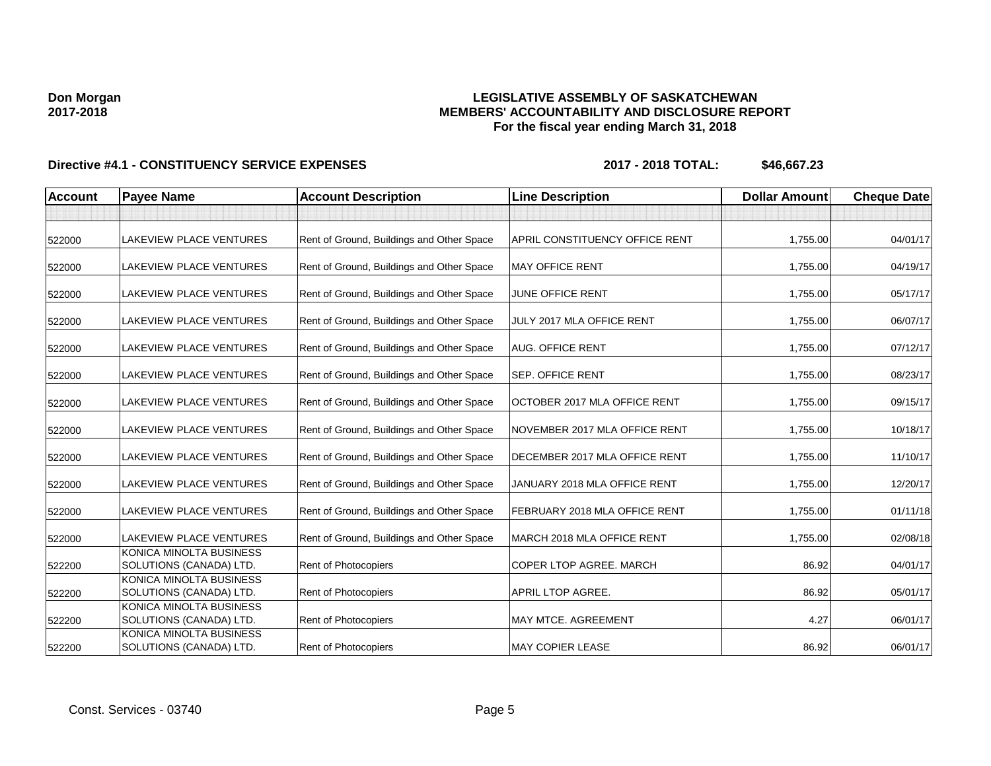## **LEGISLATIVE ASSEMBLY OF SASKATCHEWAN MEMBERS' ACCOUNTABILITY AND DISCLOSURE REPORT For the fiscal year ending March 31, 2018**

| <b>Account</b> | <b>Payee Name</b>                                  | <b>Account Description</b>                | <b>Line Description</b>        | <b>Dollar Amount</b> | <b>Cheque Date</b> |
|----------------|----------------------------------------------------|-------------------------------------------|--------------------------------|----------------------|--------------------|
|                |                                                    |                                           |                                |                      |                    |
| 522000         | LAKEVIEW PLACE VENTURES                            | Rent of Ground, Buildings and Other Space | APRIL CONSTITUENCY OFFICE RENT | 1,755.00             | 04/01/17           |
| 522000         | LAKEVIEW PLACE VENTURES                            | Rent of Ground, Buildings and Other Space | <b>MAY OFFICE RENT</b>         | 1,755.00             | 04/19/17           |
| 522000         | LAKEVIEW PLACE VENTURES                            | Rent of Ground, Buildings and Other Space | JUNE OFFICE RENT               | 1,755.00             | 05/17/17           |
| 522000         | LAKEVIEW PLACE VENTURES                            | Rent of Ground, Buildings and Other Space | JULY 2017 MLA OFFICE RENT      | 1,755.00             | 06/07/17           |
| 522000         | LAKEVIEW PLACE VENTURES                            | Rent of Ground, Buildings and Other Space | <b>AUG. OFFICE RENT</b>        | 1,755.00             | 07/12/17           |
| 522000         | <b>LAKEVIEW PLACE VENTURES</b>                     | Rent of Ground, Buildings and Other Space | <b>SEP. OFFICE RENT</b>        | 1,755.00             | 08/23/17           |
| 522000         | LAKEVIEW PLACE VENTURES                            | Rent of Ground, Buildings and Other Space | OCTOBER 2017 MLA OFFICE RENT   | 1,755.00             | 09/15/17           |
| 522000         | LAKEVIEW PLACE VENTURES                            | Rent of Ground, Buildings and Other Space | NOVEMBER 2017 MLA OFFICE RENT  | 1,755.00             | 10/18/17           |
| 522000         | LAKEVIEW PLACE VENTURES                            | Rent of Ground, Buildings and Other Space | DECEMBER 2017 MLA OFFICE RENT  | 1,755.00             | 11/10/17           |
| 522000         | LAKEVIEW PLACE VENTURES                            | Rent of Ground, Buildings and Other Space | JANUARY 2018 MLA OFFICE RENT   | 1,755.00             | 12/20/17           |
| 522000         | LAKEVIEW PLACE VENTURES                            | Rent of Ground, Buildings and Other Space | FEBRUARY 2018 MLA OFFICE RENT  | 1,755.00             | 01/11/18           |
| 522000         | <b>LAKEVIEW PLACE VENTURES</b>                     | Rent of Ground, Buildings and Other Space | MARCH 2018 MLA OFFICE RENT     | 1,755.00             | 02/08/18           |
| 522200         | KONICA MINOLTA BUSINESS<br>SOLUTIONS (CANADA) LTD. | Rent of Photocopiers                      | COPER LTOP AGREE. MARCH        | 86.92                | 04/01/17           |
| 522200         | KONICA MINOLTA BUSINESS<br>SOLUTIONS (CANADA) LTD. | Rent of Photocopiers                      | APRIL LTOP AGREE.              | 86.92                | 05/01/17           |
| 522200         | KONICA MINOLTA BUSINESS<br>SOLUTIONS (CANADA) LTD. | Rent of Photocopiers                      | MAY MTCE. AGREEMENT            | 4.27                 | 06/01/17           |
| 522200         | KONICA MINOLTA BUSINESS<br>SOLUTIONS (CANADA) LTD. | <b>Rent of Photocopiers</b>               | <b>MAY COPIER LEASE</b>        | 86.92                | 06/01/17           |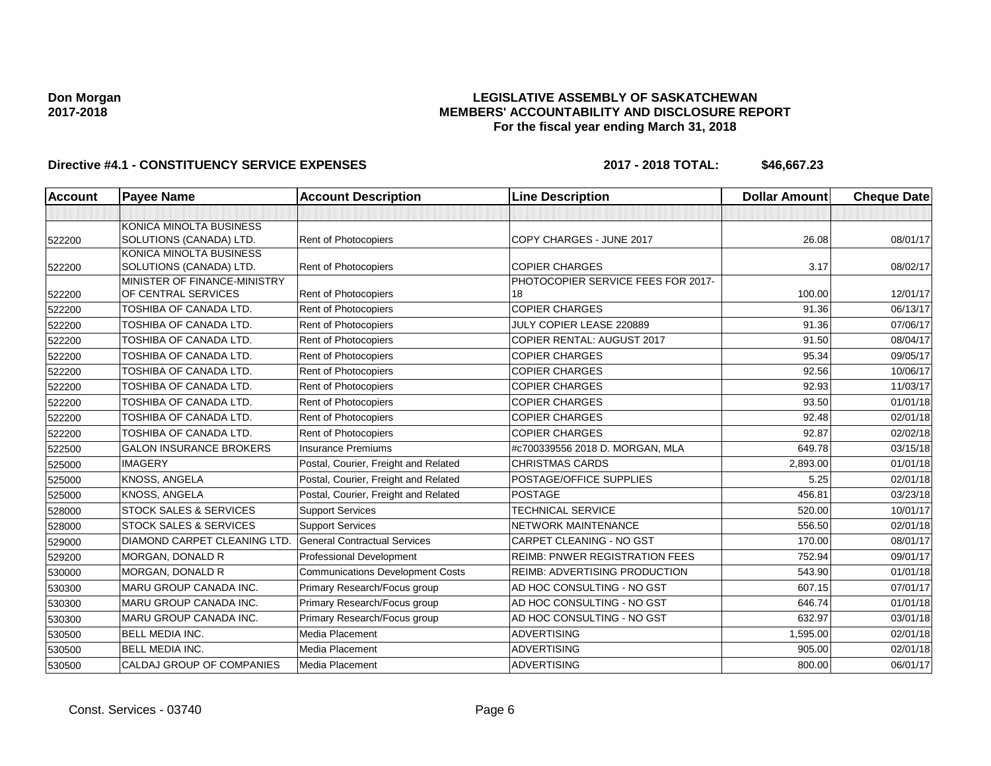## **LEGISLATIVE ASSEMBLY OF SASKATCHEWAN MEMBERS' ACCOUNTABILITY AND DISCLOSURE REPORT For the fiscal year ending March 31, 2018**

| <b>Account</b> | <b>Payee Name</b>                 | <b>Account Description</b>              | <b>Line Description</b>               | <b>Dollar Amount</b> | <b>Cheque Date</b> |
|----------------|-----------------------------------|-----------------------------------------|---------------------------------------|----------------------|--------------------|
|                |                                   |                                         |                                       |                      |                    |
|                | KONICA MINOLTA BUSINESS           |                                         |                                       |                      |                    |
| 522200         | SOLUTIONS (CANADA) LTD.           | <b>Rent of Photocopiers</b>             | COPY CHARGES - JUNE 2017              | 26.08                | 08/01/17           |
|                | <b>KONICA MINOLTA BUSINESS</b>    |                                         |                                       |                      |                    |
| 522200         | SOLUTIONS (CANADA) LTD.           | Rent of Photocopiers                    | <b>COPIER CHARGES</b>                 | 3.17                 | 08/02/17           |
|                | MINISTER OF FINANCE-MINISTRY      |                                         | PHOTOCOPIER SERVICE FEES FOR 2017-    |                      |                    |
| 522200         | OF CENTRAL SERVICES               | Rent of Photocopiers                    | 18                                    | 100.00               | 12/01/17           |
| 522200         | TOSHIBA OF CANADA LTD.            | Rent of Photocopiers                    | <b>COPIER CHARGES</b>                 | 91.36                | 06/13/17           |
| 522200         | TOSHIBA OF CANADA LTD.            | <b>Rent of Photocopiers</b>             | JULY COPIER LEASE 220889              | 91.36                | 07/06/17           |
| 522200         | <b>TOSHIBA OF CANADA LTD.</b>     | Rent of Photocopiers                    | <b>COPIER RENTAL: AUGUST 2017</b>     | 91.50                | 08/04/17           |
| 522200         | <b>TOSHIBA OF CANADA LTD.</b>     | Rent of Photocopiers                    | <b>COPIER CHARGES</b>                 | 95.34                | 09/05/17           |
| 522200         | <b>TOSHIBA OF CANADA LTD.</b>     | Rent of Photocopiers                    | <b>COPIER CHARGES</b>                 | 92.56                | 10/06/17           |
| 522200         | <b>TOSHIBA OF CANADA LTD.</b>     | <b>Rent of Photocopiers</b>             | <b>COPIER CHARGES</b>                 | 92.93                | 11/03/17           |
| 522200         | <b>TOSHIBA OF CANADA LTD.</b>     | Rent of Photocopiers                    | <b>COPIER CHARGES</b>                 | 93.50                | 01/01/18           |
| 522200         | <b>TOSHIBA OF CANADA LTD.</b>     | Rent of Photocopiers                    | <b>COPIER CHARGES</b>                 | 92.48                | 02/01/18           |
| 522200         | TOSHIBA OF CANADA LTD.            | Rent of Photocopiers                    | <b>COPIER CHARGES</b>                 | 92.87                | 02/02/18           |
| 522500         | <b>GALON INSURANCE BROKERS</b>    | <b>Insurance Premiums</b>               | #c700339556 2018 D. MORGAN, MLA       | 649.78               | 03/15/18           |
| 525000         | <b>IMAGERY</b>                    | Postal, Courier, Freight and Related    | <b>CHRISTMAS CARDS</b>                | 2,893.00             | 01/01/18           |
| 525000         | KNOSS, ANGELA                     | Postal, Courier, Freight and Related    | POSTAGE/OFFICE SUPPLIES               | 5.25                 | 02/01/18           |
| 525000         | <b>KNOSS, ANGELA</b>              | Postal, Courier, Freight and Related    | <b>POSTAGE</b>                        | 456.81               | 03/23/18           |
| 528000         | <b>STOCK SALES &amp; SERVICES</b> | <b>Support Services</b>                 | <b>TECHNICAL SERVICE</b>              | 520.00               | 10/01/17           |
| 528000         | <b>STOCK SALES &amp; SERVICES</b> | <b>Support Services</b>                 | <b>NETWORK MAINTENANCE</b>            | 556.50               | 02/01/18           |
| 529000         | DIAMOND CARPET CLEANING LTD.      | <b>General Contractual Services</b>     | <b>CARPET CLEANING - NO GST</b>       | 170.00               | 08/01/17           |
| 529200         | <b>MORGAN, DONALD R</b>           | <b>Professional Development</b>         | <b>REIMB: PNWER REGISTRATION FEES</b> | 752.94               | 09/01/17           |
| 530000         | <b>MORGAN, DONALD R</b>           | <b>Communications Development Costs</b> | <b>REIMB: ADVERTISING PRODUCTION</b>  | 543.90               | 01/01/18           |
| 530300         | MARU GROUP CANADA INC.            | Primary Research/Focus group            | AD HOC CONSULTING - NO GST            | 607.15               | 07/01/17           |
| 530300         | MARU GROUP CANADA INC.            | Primary Research/Focus group            | AD HOC CONSULTING - NO GST            | 646.74               | 01/01/18           |
| 530300         | MARU GROUP CANADA INC.            | Primary Research/Focus group            | AD HOC CONSULTING - NO GST            | 632.97               | 03/01/18           |
| 530500         | <b>BELL MEDIA INC.</b>            | Media Placement                         | <b>ADVERTISING</b>                    | 1,595.00             | 02/01/18           |
| 530500         | <b>BELL MEDIA INC.</b>            | <b>Media Placement</b>                  | <b>ADVERTISING</b>                    | 905.00               | 02/01/18           |
| 530500         | CALDAJ GROUP OF COMPANIES         | Media Placement                         | <b>ADVERTISING</b>                    | 800.00               | 06/01/17           |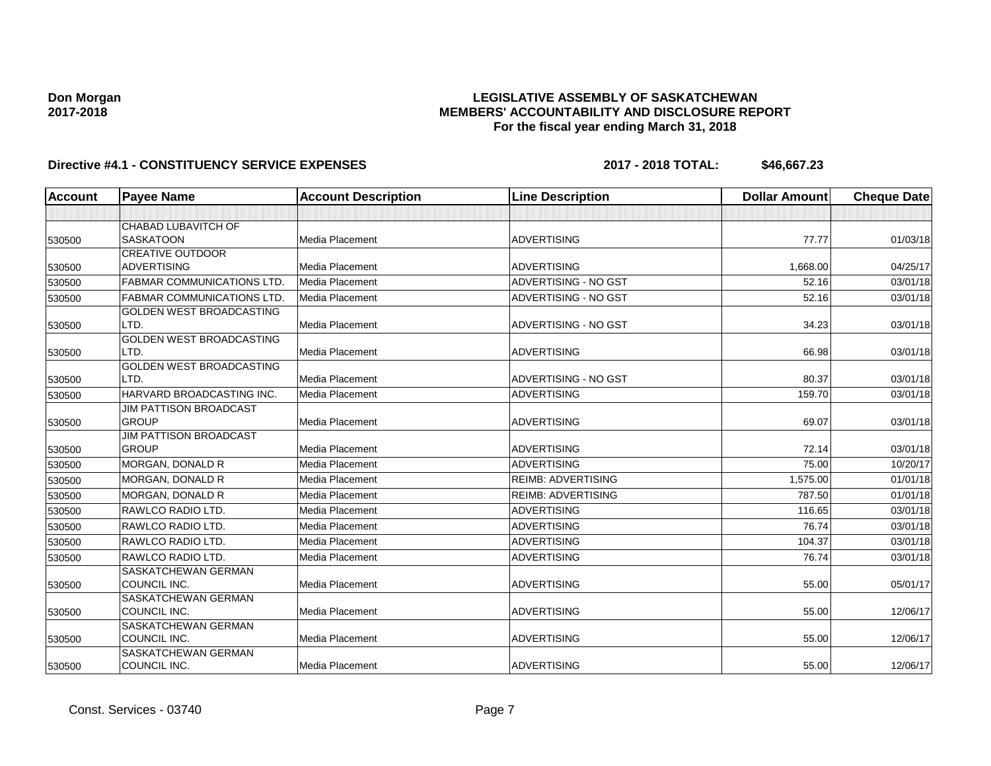## **LEGISLATIVE ASSEMBLY OF SASKATCHEWAN MEMBERS' ACCOUNTABILITY AND DISCLOSURE REPORT For the fiscal year ending March 31, 2018**

| Account | <b>Payee Name</b>                 | <b>Account Description</b> | <b>Line Description</b>     | <b>Dollar Amount</b> | <b>Cheque Date</b> |
|---------|-----------------------------------|----------------------------|-----------------------------|----------------------|--------------------|
|         |                                   |                            |                             |                      |                    |
|         | <b>CHABAD LUBAVITCH OF</b>        |                            |                             |                      |                    |
| 530500  | <b>SASKATOON</b>                  | <b>Media Placement</b>     | <b>ADVERTISING</b>          | 77.77                | 01/03/18           |
|         | <b>CREATIVE OUTDOOR</b>           |                            |                             |                      |                    |
| 530500  | <b>ADVERTISING</b>                | <b>Media Placement</b>     | <b>ADVERTISING</b>          | 1,668.00             | 04/25/17           |
| 530500  | <b>FABMAR COMMUNICATIONS LTD.</b> | Media Placement            | ADVERTISING - NO GST        | 52.16                | 03/01/18           |
| 530500  | <b>FABMAR COMMUNICATIONS LTD</b>  | <b>Media Placement</b>     | ADVERTISING - NO GST        | 52.16                | 03/01/18           |
|         | <b>GOLDEN WEST BROADCASTING</b>   |                            |                             |                      |                    |
| 530500  | LTD.                              | <b>Media Placement</b>     | <b>ADVERTISING - NO GST</b> | 34.23                | 03/01/18           |
|         | <b>GOLDEN WEST BROADCASTING</b>   |                            |                             |                      |                    |
| 530500  | LTD.                              | <b>Media Placement</b>     | <b>ADVERTISING</b>          | 66.98                | 03/01/18           |
|         | <b>GOLDEN WEST BROADCASTING</b>   |                            |                             |                      |                    |
| 530500  | LTD.                              | <b>Media Placement</b>     | ADVERTISING - NO GST        | 80.37                | 03/01/18           |
| 530500  | HARVARD BROADCASTING INC.         | <b>Media Placement</b>     | <b>ADVERTISING</b>          | 159.70               | 03/01/18           |
|         | <b>JIM PATTISON BROADCAST</b>     |                            |                             |                      |                    |
| 530500  | <b>GROUP</b>                      | <b>Media Placement</b>     | <b>ADVERTISING</b>          | 69.07                | 03/01/18           |
|         | <b>JIM PATTISON BROADCAST</b>     |                            |                             |                      |                    |
| 530500  | <b>GROUP</b>                      | Media Placement            | <b>ADVERTISING</b>          | 72.14                | 03/01/18           |
| 530500  | <b>MORGAN, DONALD R</b>           | Media Placement            | ADVERTISING                 | 75.00                | 10/20/17           |
| 530500  | MORGAN, DONALD R                  | <b>Media Placement</b>     | <b>REIMB: ADVERTISING</b>   | 1,575.00             | 01/01/18           |
| 530500  | <b>MORGAN, DONALD R</b>           | <b>Media Placement</b>     | <b>REIMB: ADVERTISING</b>   | 787.50               | 01/01/18           |
| 530500  | RAWLCO RADIO LTD.                 | Media Placement            | <b>ADVERTISING</b>          | 116.65               | 03/01/18           |
| 530500  | RAWLCO RADIO LTD.                 | Media Placement            | <b>ADVERTISING</b>          | 76.74                | 03/01/18           |
| 530500  | RAWLCO RADIO LTD.                 | <b>Media Placement</b>     | <b>ADVERTISING</b>          | 104.37               | 03/01/18           |
| 530500  | RAWLCO RADIO LTD.                 | <b>Media Placement</b>     | <b>ADVERTISING</b>          | 76.74                | 03/01/18           |
|         | SASKATCHEWAN GERMAN               |                            |                             |                      |                    |
| 530500  | COUNCIL INC.                      | Media Placement            | <b>ADVERTISING</b>          | 55.00                | 05/01/17           |
|         | SASKATCHEWAN GERMAN               |                            |                             |                      |                    |
| 530500  | COUNCIL INC.                      | Media Placement            | <b>ADVERTISING</b>          | 55.00                | 12/06/17           |
|         | <b>SASKATCHEWAN GERMAN</b>        |                            |                             |                      |                    |
| 530500  | COUNCIL INC.                      | Media Placement            | <b>ADVERTISING</b>          | 55.00                | 12/06/17           |
|         | SASKATCHEWAN GERMAN               |                            |                             |                      |                    |
| 530500  | COUNCIL INC.                      | <b>Media Placement</b>     | <b>ADVERTISING</b>          | 55.00                | 12/06/17           |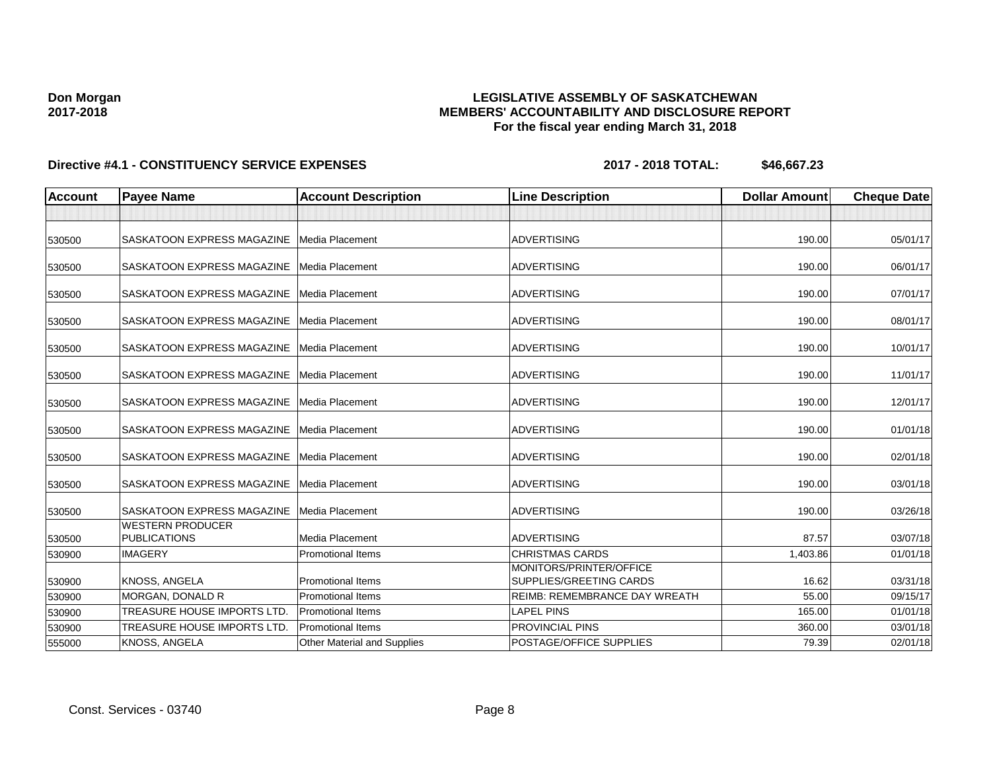## **LEGISLATIVE ASSEMBLY OF SASKATCHEWAN MEMBERS' ACCOUNTABILITY AND DISCLOSURE REPORT For the fiscal year ending March 31, 2018**

| <b>Account</b> | <b>Payee Name</b>                              | <b>Account Description</b>  | <b>Line Description</b>                            | <b>Dollar Amount</b> | <b>Cheque Date</b> |
|----------------|------------------------------------------------|-----------------------------|----------------------------------------------------|----------------------|--------------------|
|                |                                                |                             |                                                    |                      |                    |
| 530500         | SASKATOON EXPRESS MAGAZINE   Media Placement   |                             | <b>ADVERTISING</b>                                 | 190.00               | 05/01/17           |
| 530500         | SASKATOON EXPRESS MAGAZINE   Media Placement   |                             | <b>ADVERTISING</b>                                 | 190.00               | 06/01/17           |
| 530500         | SASKATOON EXPRESS MAGAZINE   Media Placement   |                             | <b>ADVERTISING</b>                                 | 190.00               | 07/01/17           |
| 530500         | SASKATOON EXPRESS MAGAZINE   Media Placement   |                             | <b>ADVERTISING</b>                                 | 190.00               | 08/01/17           |
| 530500         | SASKATOON EXPRESS MAGAZINE Media Placement     |                             | ADVERTISING                                        | 190.00               | 10/01/17           |
| 530500         | SASKATOON EXPRESS MAGAZINE                     | Media Placement             | <b>ADVERTISING</b>                                 | 190.00               | 11/01/17           |
| 530500         | SASKATOON EXPRESS MAGAZINE Media Placement     |                             | <b>ADVERTISING</b>                                 | 190.00               | 12/01/17           |
| 530500         | SASKATOON EXPRESS MAGAZINE   Media Placement   |                             | <b>ADVERTISING</b>                                 | 190.00               | 01/01/18           |
| 530500         | SASKATOON EXPRESS MAGAZINE Media Placement     |                             | <b>ADVERTISING</b>                                 | 190.00               | 02/01/18           |
| 530500         | SASKATOON EXPRESS MAGAZINE                     | Media Placement             | <b>ADVERTISING</b>                                 | 190.00               | 03/01/18           |
| 530500         | SASKATOON EXPRESS MAGAZINE                     | Media Placement             | <b>ADVERTISING</b>                                 | 190.00               | 03/26/18           |
| 530500         | <b>WESTERN PRODUCER</b><br><b>PUBLICATIONS</b> | <b>Media Placement</b>      | <b>ADVERTISING</b>                                 | 87.57                | 03/07/18           |
| 530900         | <b>IMAGERY</b>                                 | <b>Promotional Items</b>    | <b>CHRISTMAS CARDS</b>                             | 1,403.86             | 01/01/18           |
| 530900         | KNOSS, ANGELA                                  | <b>Promotional Items</b>    | MONITORS/PRINTER/OFFICE<br>SUPPLIES/GREETING CARDS | 16.62                | 03/31/18           |
| 530900         | <b>MORGAN, DONALD R</b>                        | <b>Promotional Items</b>    | <b>REIMB: REMEMBRANCE DAY WREATH</b>               | 55.00                | 09/15/17           |
| 530900         | TREASURE HOUSE IMPORTS LTD.                    | <b>Promotional Items</b>    | <b>LAPEL PINS</b>                                  | 165.00               | 01/01/18           |
| 530900         | TREASURE HOUSE IMPORTS LTD.                    | <b>Promotional Items</b>    | <b>PROVINCIAL PINS</b>                             | 360.00               | 03/01/18           |
| 555000         | KNOSS, ANGELA                                  | Other Material and Supplies | POSTAGE/OFFICE SUPPLIES                            | 79.39                | 02/01/18           |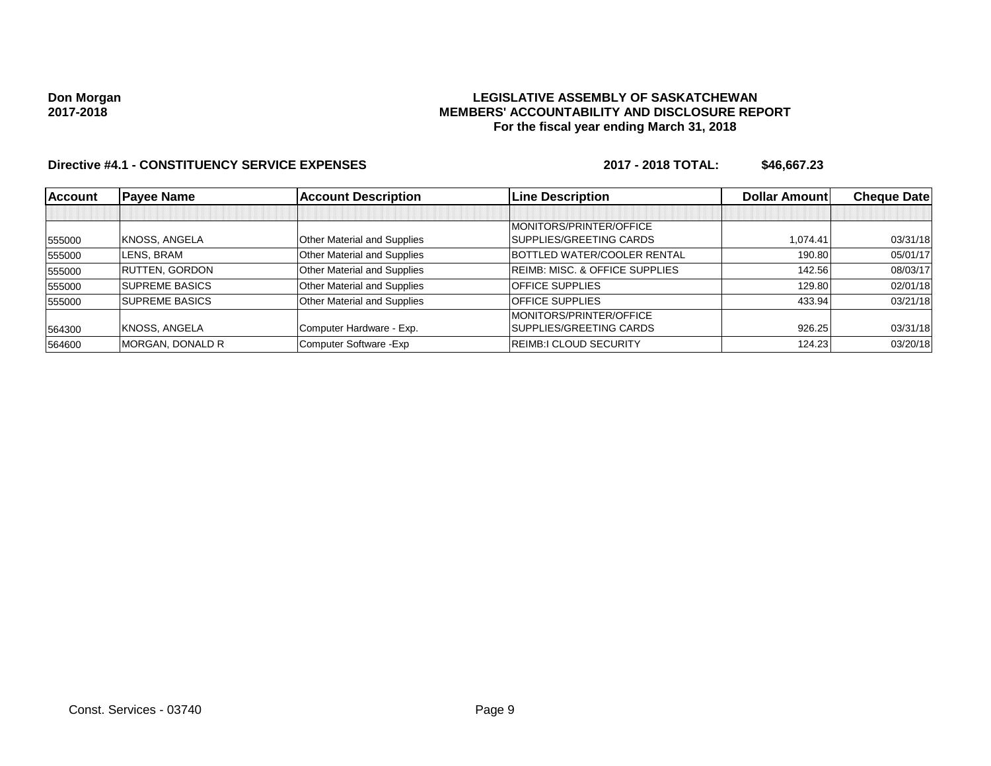### **LEGISLATIVE ASSEMBLY OF SASKATCHEWAN MEMBERS' ACCOUNTABILITY AND DISCLOSURE REPORT For the fiscal year ending March 31, 2018**

| <b>Account</b> | <b>Payee Name</b>     | <b>Account Description</b>  | <b>Line Description</b>                   | <b>Dollar Amount</b> | <b>Cheque Datel</b> |
|----------------|-----------------------|-----------------------------|-------------------------------------------|----------------------|---------------------|
|                |                       |                             |                                           |                      |                     |
|                |                       |                             | MONITORS/PRINTER/OFFICE                   |                      |                     |
| 555000         | KNOSS, ANGELA         | Other Material and Supplies | SUPPLIES/GREETING CARDS                   | 1.074.41             | 03/31/18            |
| 555000         | LENS. BRAM            | Other Material and Supplies | BOTTLED WATER/COOLER RENTAL               | 190.80               | 05/01/17            |
| 555000         | <b>RUTTEN, GORDON</b> | Other Material and Supplies | <b>REIMB: MISC. &amp; OFFICE SUPPLIES</b> | 142.56               | 08/03/17            |
| 555000         | <b>SUPREME BASICS</b> | Other Material and Supplies | <b>OFFICE SUPPLIES</b>                    | 129.80               | 02/01/18            |
| 555000         | <b>SUPREME BASICS</b> | Other Material and Supplies | <b>OFFICE SUPPLIES</b>                    | 433.94               | 03/21/18            |
|                |                       |                             | MONITORS/PRINTER/OFFICE                   |                      |                     |
| 564300         | KNOSS, ANGELA         | Computer Hardware - Exp.    | SUPPLIES/GREETING CARDS                   | 926.25               | 03/31/18            |
| 564600         | MORGAN, DONALD R      | Computer Software - Exp     | <b>REIMB:I CLOUD SECURITY</b>             | 124.23               | 03/20/18            |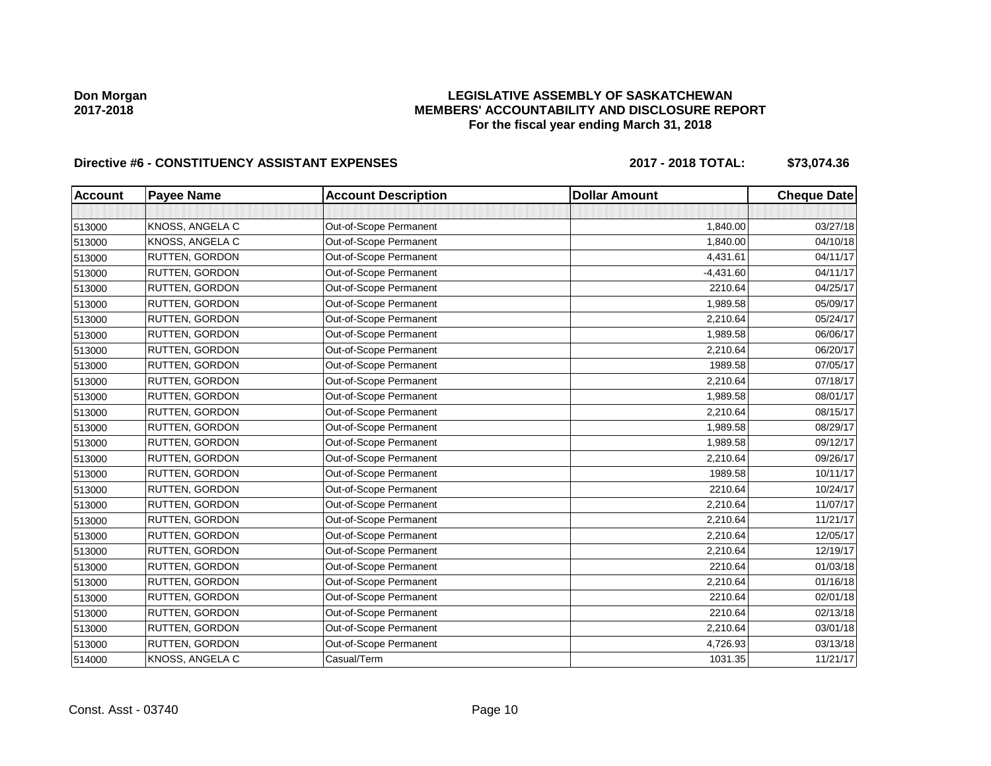## **LEGISLATIVE ASSEMBLY OF SASKATCHEWAN MEMBERS' ACCOUNTABILITY AND DISCLOSURE REPORT For the fiscal year ending March 31, 2018**

# Directive #6 - CONSTITUENCY ASSISTANT EXPENSES 2017 - 2018 TOTAL: \$73,074.36

| <b>Account</b> | <b>Payee Name</b> | <b>Account Description</b> | <b>Dollar Amount</b> | <b>Cheque Date</b> |
|----------------|-------------------|----------------------------|----------------------|--------------------|
|                |                   |                            |                      |                    |
| 513000         | KNOSS, ANGELA C   | Out-of-Scope Permanent     | 1,840.00             | 03/27/18           |
| 513000         | KNOSS, ANGELA C   | Out-of-Scope Permanent     | 1,840.00             | 04/10/18           |
| 513000         | RUTTEN, GORDON    | Out-of-Scope Permanent     | 4,431.61             | 04/11/17           |
| 513000         | RUTTEN, GORDON    | Out-of-Scope Permanent     | $-4,431.60$          | 04/11/17           |
| 513000         | RUTTEN, GORDON    | Out-of-Scope Permanent     | 2210.64              | 04/25/17           |
| 513000         | RUTTEN, GORDON    | Out-of-Scope Permanent     | 1,989.58             | 05/09/17           |
| 513000         | RUTTEN, GORDON    | Out-of-Scope Permanent     | 2,210.64             | 05/24/17           |
| 513000         | RUTTEN, GORDON    | Out-of-Scope Permanent     | 1,989.58             | 06/06/17           |
| 513000         | RUTTEN, GORDON    | Out-of-Scope Permanent     | 2,210.64             | 06/20/17           |
| 513000         | RUTTEN, GORDON    | Out-of-Scope Permanent     | 1989.58              | 07/05/17           |
| 513000         | RUTTEN, GORDON    | Out-of-Scope Permanent     | 2,210.64             | 07/18/17           |
| 513000         | RUTTEN, GORDON    | Out-of-Scope Permanent     | 1,989.58             | 08/01/17           |
| 513000         | RUTTEN, GORDON    | Out-of-Scope Permanent     | 2,210.64             | 08/15/17           |
| 513000         | RUTTEN, GORDON    | Out-of-Scope Permanent     | 1,989.58             | 08/29/17           |
| 513000         | RUTTEN, GORDON    | Out-of-Scope Permanent     | 1,989.58             | 09/12/17           |
| 513000         | RUTTEN, GORDON    | Out-of-Scope Permanent     | 2,210.64             | 09/26/17           |
| 513000         | RUTTEN, GORDON    | Out-of-Scope Permanent     | 1989.58              | 10/11/17           |
| 513000         | RUTTEN, GORDON    | Out-of-Scope Permanent     | 2210.64              | 10/24/17           |
| 513000         | RUTTEN, GORDON    | Out-of-Scope Permanent     | 2,210.64             | 11/07/17           |
| 513000         | RUTTEN, GORDON    | Out-of-Scope Permanent     | 2,210.64             | 11/21/17           |
| 513000         | RUTTEN, GORDON    | Out-of-Scope Permanent     | 2,210.64             | 12/05/17           |
| 513000         | RUTTEN, GORDON    | Out-of-Scope Permanent     | 2,210.64             | 12/19/17           |
| 513000         | RUTTEN, GORDON    | Out-of-Scope Permanent     | 2210.64              | 01/03/18           |
| 513000         | RUTTEN, GORDON    | Out-of-Scope Permanent     | 2,210.64             | 01/16/18           |
| 513000         | RUTTEN, GORDON    | Out-of-Scope Permanent     | 2210.64              | 02/01/18           |
| 513000         | RUTTEN, GORDON    | Out-of-Scope Permanent     | 2210.64              | 02/13/18           |
| 513000         | RUTTEN, GORDON    | Out-of-Scope Permanent     | 2,210.64             | 03/01/18           |
| 513000         | RUTTEN, GORDON    | Out-of-Scope Permanent     | 4,726.93             | 03/13/18           |
| 514000         | KNOSS, ANGELA C   | Casual/Term                | 1031.35              | 11/21/17           |